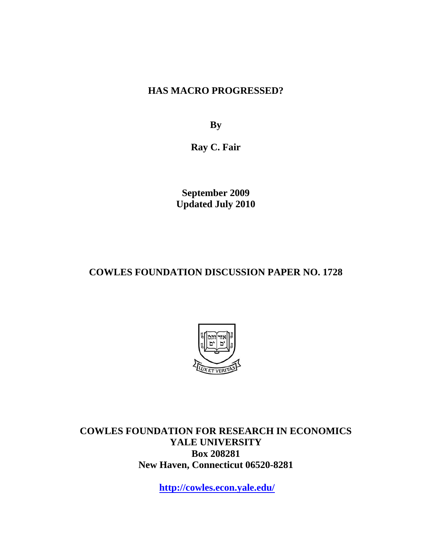# **HAS MACRO PROGRESSED?**

**By** 

**Ray C. Fair** 

**September 2009 Updated July 2010** 

# **COWLES FOUNDATION DISCUSSION PAPER NO. 1728**



**COWLES FOUNDATION FOR RESEARCH IN ECONOMICS YALE UNIVERSITY Box 208281 New Haven, Connecticut 06520-8281** 

**http://cowles.econ.yale.edu/**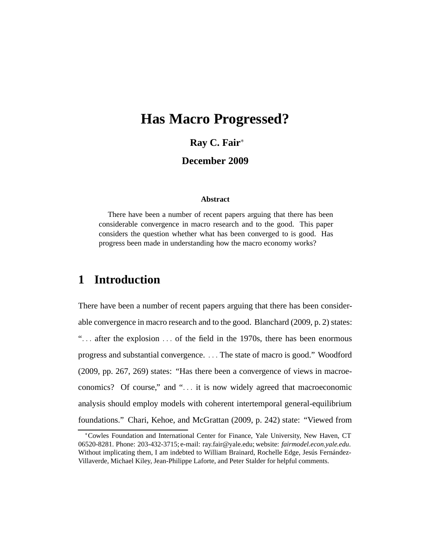# **Has Macro Progressed?**

**Ray C. Fair**<sup>∗</sup>

# **December 2009**

#### **Abstract**

There have been a number of recent papers arguing that there has been considerable convergence in macro research and to the good. This paper considers the question whether what has been converged to is good. Has progress been made in understanding how the macro economy works?

# **1 Introduction**

There have been a number of recent papers arguing that there has been considerable convergence in macro research and to the good. Blanchard (2009, p. 2) states: "*...* after the explosion *...* of the field in the 1970s, there has been enormous progress and substantial convergence. *...* The state of macro is good." Woodford (2009, pp. 267, 269) states: "Has there been a convergence of views in macroeconomics? Of course," and "*...* it is now widely agreed that macroeconomic analysis should employ models with coherent intertemporal general-equilibrium foundations." Chari, Kehoe, and McGrattan (2009, p. 242) state: "Viewed from

<sup>∗</sup>Cowles Foundation and International Center for Finance, Yale University, New Haven, CT 06520-8281. Phone: 203-432-3715; e-mail: ray.fair@yale.edu; website: *fairmodel.econ.yale.edu*. Without implicating them, I am indebted to William Brainard, Rochelle Edge, Jesús Fernández-Villaverde, Michael Kiley, Jean-Philippe Laforte, and Peter Stalder for helpful comments.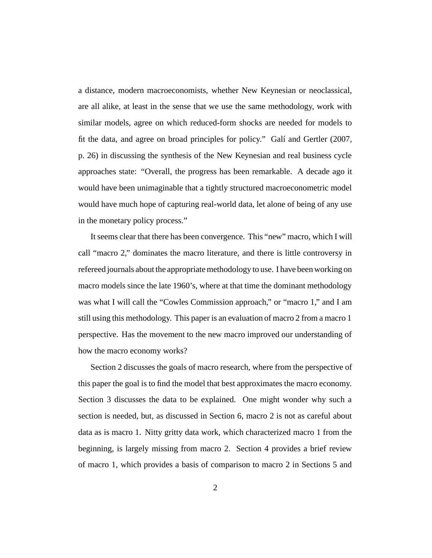a distance, modern macroeconomists, whether New Keynesian or neoclassical, are all alike, at least in the sense that we use the same methodology, work with similar models, agree on which reduced-form shocks are needed for models to fit the data, and agree on broad principles for policy." Galí and Gertler (2007, p. 26) in discussing the synthesis of the New Keynesian and real business cycle approaches state: "Overall, the progress has been remarkable. A decade ago it would have been unimaginable that a tightly structured macroeconometric model would have much hope of capturing real-world data, let alone of being of any use in the monetary policy process."

It seems clear that there has been convergence. This "new" macro, which I will call "macro 2," dominates the macro literature, and there is little controversy in refereed journals about the appropriate methodology to use. I have been working on macro models since the late 1960's, where at that time the dominant methodology was what I will call the "Cowles Commission approach," or "macro 1," and I am still using this methodology. This paper is an evaluation of macro 2 from a macro 1 perspective. Has the movement to the new macro improved our understanding of how the macro economy works?

Section 2 discusses the goals of macro research, where from the perspective of this paper the goal is to find the model that best approximates the macro economy. Section 3 discusses the data to be explained. One might wonder why such a section is needed, but, as discussed in Section 6, macro 2 is not as careful about data as is macro 1. Nitty gritty data work, which characterized macro 1 from the beginning, is largely missing from macro 2. Section 4 provides a brief review of macro 1, which provides a basis of comparison to macro 2 in Sections 5 and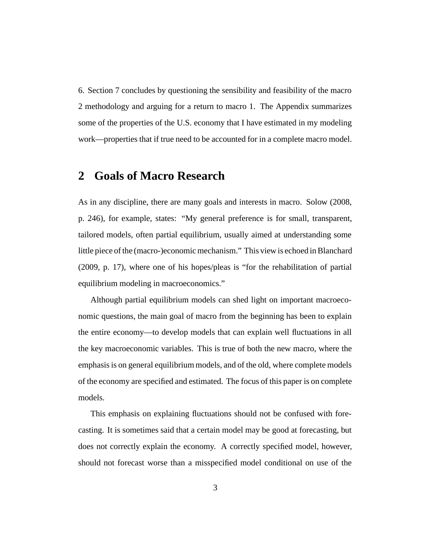6. Section 7 concludes by questioning the sensibility and feasibility of the macro 2 methodology and arguing for a return to macro 1. The Appendix summarizes some of the properties of the U.S. economy that I have estimated in my modeling work—properties that if true need to be accounted for in a complete macro model.

# **2 Goals of Macro Research**

As in any discipline, there are many goals and interests in macro. Solow (2008, p. 246), for example, states: "My general preference is for small, transparent, tailored models, often partial equilibrium, usually aimed at understanding some little piece of the (macro-)economic mechanism." This view is echoed in Blanchard (2009, p. 17), where one of his hopes/pleas is "for the rehabilitation of partial equilibrium modeling in macroeconomics."

Although partial equilibrium models can shed light on important macroeconomic questions, the main goal of macro from the beginning has been to explain the entire economy—to develop models that can explain well fluctuations in all the key macroeconomic variables. This is true of both the new macro, where the emphasis is on general equilibrium models, and of the old, where complete models of the economy are specified and estimated. The focus of this paper is on complete models.

This emphasis on explaining fluctuations should not be confused with forecasting. It is sometimes said that a certain model may be good at forecasting, but does not correctly explain the economy. A correctly specified model, however, should not forecast worse than a misspecified model conditional on use of the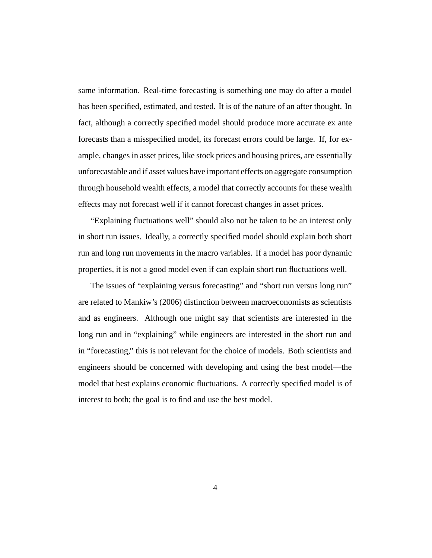same information. Real-time forecasting is something one may do after a model has been specified, estimated, and tested. It is of the nature of an after thought. In fact, although a correctly specified model should produce more accurate ex ante forecasts than a misspecified model, its forecast errors could be large. If, for example, changes in asset prices, like stock prices and housing prices, are essentially unforecastable and if asset values have important effects on aggregate consumption through household wealth effects, a model that correctly accounts for these wealth effects may not forecast well if it cannot forecast changes in asset prices.

"Explaining fluctuations well" should also not be taken to be an interest only in short run issues. Ideally, a correctly specified model should explain both short run and long run movements in the macro variables. If a model has poor dynamic properties, it is not a good model even if can explain short run fluctuations well.

The issues of "explaining versus forecasting" and "short run versus long run" are related to Mankiw's (2006) distinction between macroeconomists as scientists and as engineers. Although one might say that scientists are interested in the long run and in "explaining" while engineers are interested in the short run and in "forecasting," this is not relevant for the choice of models. Both scientists and engineers should be concerned with developing and using the best model—the model that best explains economic fluctuations. A correctly specified model is of interest to both; the goal is to find and use the best model.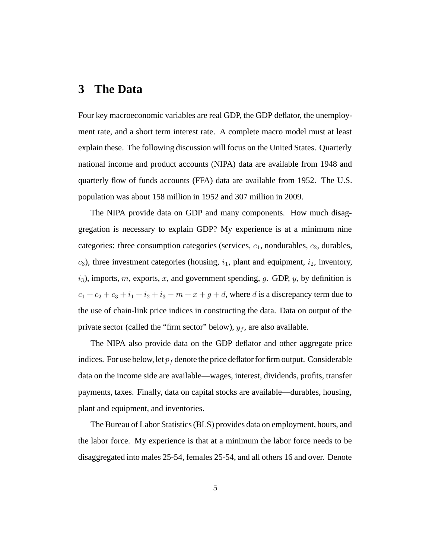# **3 The Data**

Four key macroeconomic variables are real GDP, the GDP deflator, the unemployment rate, and a short term interest rate. A complete macro model must at least explain these. The following discussion will focus on the United States. Quarterly national income and product accounts (NIPA) data are available from 1948 and quarterly flow of funds accounts (FFA) data are available from 1952. The U.S. population was about 158 million in 1952 and 307 million in 2009.

The NIPA provide data on GDP and many components. How much disaggregation is necessary to explain GDP? My experience is at a minimum nine categories: three consumption categories (services, *c*1, nondurables, *c*2, durables,  $c_3$ ), three investment categories (housing,  $i_1$ , plant and equipment,  $i_2$ , inventory, *i*3), imports, *m*, exports, *x*, and government spending, *g*. GDP, *y*, by definition is  $c_1 + c_2 + c_3 + i_1 + i_2 + i_3 - m + x + g + d$ , where *d* is a discrepancy term due to the use of chain-link price indices in constructing the data. Data on output of the private sector (called the "firm sector" below),  $y_f$ , are also available.

The NIPA also provide data on the GDP deflator and other aggregate price indices. For use below, let  $p_f$  denote the price deflator for firm output. Considerable data on the income side are available—wages, interest, dividends, profits, transfer payments, taxes. Finally, data on capital stocks are available—durables, housing, plant and equipment, and inventories.

The Bureau of Labor Statistics (BLS) provides data on employment, hours, and the labor force. My experience is that at a minimum the labor force needs to be disaggregated into males 25-54, females 25-54, and all others 16 and over. Denote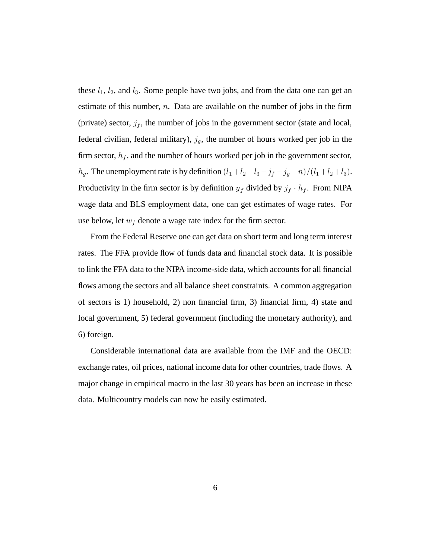these  $l_1$ ,  $l_2$ , and  $l_3$ . Some people have two jobs, and from the data one can get an estimate of this number, *n*. Data are available on the number of jobs in the firm (private) sector,  $j_f$ , the number of jobs in the government sector (state and local, federal civilian, federal military),  $j_g$ , the number of hours worked per job in the firm sector,  $h_f$ , and the number of hours worked per job in the government sector, *h*<sub>g</sub>. The unemployment rate is by definition  $(l_1 + l_2 + l_3 - j_f - j_g + n)/(l_1 + l_2 + l_3)$ . Productivity in the firm sector is by definition  $y_f$  divided by  $j_f \cdot h_f$ . From NIPA wage data and BLS employment data, one can get estimates of wage rates. For use below, let  $w_f$  denote a wage rate index for the firm sector.

From the Federal Reserve one can get data on short term and long term interest rates. The FFA provide flow of funds data and financial stock data. It is possible to link the FFA data to the NIPA income-side data, which accounts for all financial flows among the sectors and all balance sheet constraints. A common aggregation of sectors is 1) household, 2) non financial firm, 3) financial firm, 4) state and local government, 5) federal government (including the monetary authority), and 6) foreign.

Considerable international data are available from the IMF and the OECD: exchange rates, oil prices, national income data for other countries, trade flows. A major change in empirical macro in the last 30 years has been an increase in these data. Multicountry models can now be easily estimated.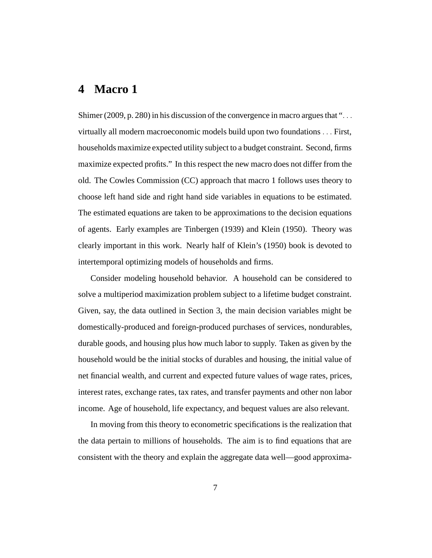# **4 Macro 1**

Shimer (2009, p. 280) in his discussion of the convergence in macro argues that "*...* virtually all modern macroeconomic models build upon two foundations *...* First, households maximize expected utility subject to a budget constraint. Second, firms maximize expected profits." In this respect the new macro does not differ from the old. The Cowles Commission (CC) approach that macro 1 follows uses theory to choose left hand side and right hand side variables in equations to be estimated. The estimated equations are taken to be approximations to the decision equations of agents. Early examples are Tinbergen (1939) and Klein (1950). Theory was clearly important in this work. Nearly half of Klein's (1950) book is devoted to intertemporal optimizing models of households and firms.

Consider modeling household behavior. A household can be considered to solve a multiperiod maximization problem subject to a lifetime budget constraint. Given, say, the data outlined in Section 3, the main decision variables might be domestically-produced and foreign-produced purchases of services, nondurables, durable goods, and housing plus how much labor to supply. Taken as given by the household would be the initial stocks of durables and housing, the initial value of net financial wealth, and current and expected future values of wage rates, prices, interest rates, exchange rates, tax rates, and transfer payments and other non labor income. Age of household, life expectancy, and bequest values are also relevant.

In moving from this theory to econometric specifications is the realization that the data pertain to millions of households. The aim is to find equations that are consistent with the theory and explain the aggregate data well—good approxima-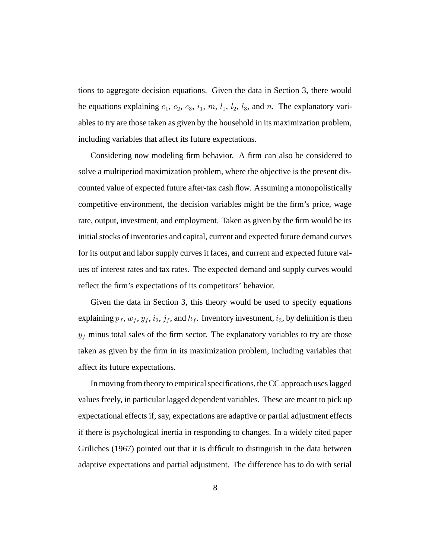tions to aggregate decision equations. Given the data in Section 3, there would be equations explaining  $c_1$ ,  $c_2$ ,  $c_3$ ,  $i_1$ ,  $m$ ,  $l_1$ ,  $l_2$ ,  $l_3$ , and  $n$ . The explanatory variables to try are those taken as given by the household in its maximization problem, including variables that affect its future expectations.

Considering now modeling firm behavior. A firm can also be considered to solve a multiperiod maximization problem, where the objective is the present discounted value of expected future after-tax cash flow. Assuming a monopolistically competitive environment, the decision variables might be the firm's price, wage rate, output, investment, and employment. Taken as given by the firm would be its initial stocks of inventories and capital, current and expected future demand curves for its output and labor supply curves it faces, and current and expected future values of interest rates and tax rates. The expected demand and supply curves would reflect the firm's expectations of its competitors' behavior.

Given the data in Section 3, this theory would be used to specify equations explaining  $p_f$ ,  $w_f$ ,  $y_f$ ,  $i_2$ ,  $j_f$ , and  $h_f$ . Inventory investment,  $i_3$ , by definition is then *<sup>y</sup>f* minus total sales of the firm sector. The explanatory variables to try are those taken as given by the firm in its maximization problem, including variables that affect its future expectations.

In moving from theory to empirical specifications, the CC approach uses lagged values freely, in particular lagged dependent variables. These are meant to pick up expectational effects if, say, expectations are adaptive or partial adjustment effects if there is psychological inertia in responding to changes. In a widely cited paper Griliches (1967) pointed out that it is difficult to distinguish in the data between adaptive expectations and partial adjustment. The difference has to do with serial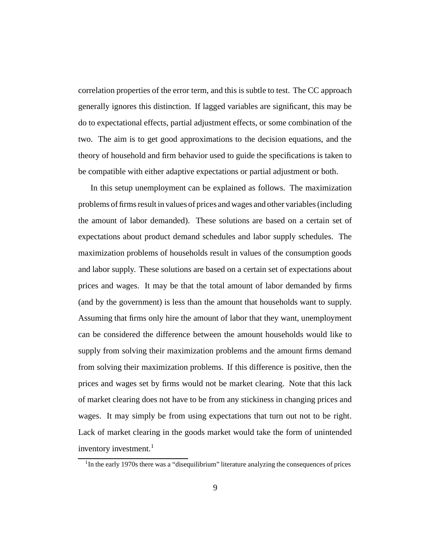correlation properties of the error term, and this is subtle to test. The CC approach generally ignores this distinction. If lagged variables are significant, this may be do to expectational effects, partial adjustment effects, or some combination of the two. The aim is to get good approximations to the decision equations, and the theory of household and firm behavior used to guide the specifications is taken to be compatible with either adaptive expectations or partial adjustment or both.

In this setup unemployment can be explained as follows. The maximization problems of firms result in values of prices and wages and other variables (including the amount of labor demanded). These solutions are based on a certain set of expectations about product demand schedules and labor supply schedules. The maximization problems of households result in values of the consumption goods and labor supply. These solutions are based on a certain set of expectations about prices and wages. It may be that the total amount of labor demanded by firms (and by the government) is less than the amount that households want to supply. Assuming that firms only hire the amount of labor that they want, unemployment can be considered the difference between the amount households would like to supply from solving their maximization problems and the amount firms demand from solving their maximization problems. If this difference is positive, then the prices and wages set by firms would not be market clearing. Note that this lack of market clearing does not have to be from any stickiness in changing prices and wages. It may simply be from using expectations that turn out not to be right. Lack of market clearing in the goods market would take the form of unintended inventory investment. $<sup>1</sup>$ </sup>

<sup>&</sup>lt;sup>1</sup>In the early 1970s there was a "disequilibrium" literature analyzing the consequences of prices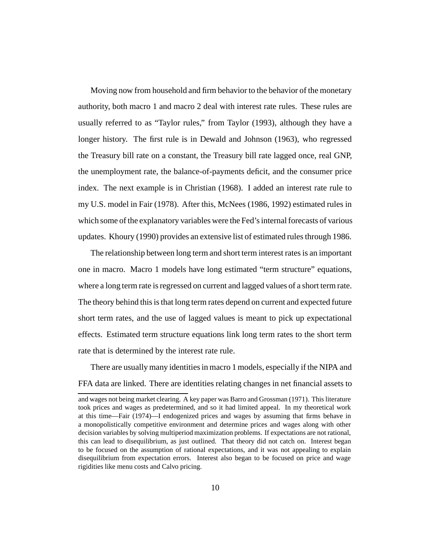Moving now from household and firm behavior to the behavior of the monetary authority, both macro 1 and macro 2 deal with interest rate rules. These rules are usually referred to as "Taylor rules," from Taylor (1993), although they have a longer history. The first rule is in Dewald and Johnson (1963), who regressed the Treasury bill rate on a constant, the Treasury bill rate lagged once, real GNP, the unemployment rate, the balance-of-payments deficit, and the consumer price index. The next example is in Christian (1968). I added an interest rate rule to my U.S. model in Fair (1978). After this, McNees (1986, 1992) estimated rules in which some of the explanatory variables were the Fed's internal forecasts of various updates. Khoury (1990) provides an extensive list of estimated rules through 1986.

The relationship between long term and short term interest rates is an important one in macro. Macro 1 models have long estimated "term structure" equations, where a long term rate is regressed on current and lagged values of a short term rate. The theory behind this is that long term rates depend on current and expected future short term rates, and the use of lagged values is meant to pick up expectational effects. Estimated term structure equations link long term rates to the short term rate that is determined by the interest rate rule.

There are usually many identities in macro 1 models, especially if the NIPA and FFA data are linked. There are identities relating changes in net financial assets to

and wages not being market clearing. A key paper was Barro and Grossman (1971). This literature took prices and wages as predetermined, and so it had limited appeal. In my theoretical work at this time—Fair (1974)—I endogenized prices and wages by assuming that firms behave in a monopolistically competitive environment and determine prices and wages along with other decision variables by solving multiperiod maximization problems. If expectations are not rational, this can lead to disequilibrium, as just outlined. That theory did not catch on. Interest began to be focused on the assumption of rational expectations, and it was not appealing to explain disequilibrium from expectation errors. Interest also began to be focused on price and wage rigidities like menu costs and Calvo pricing.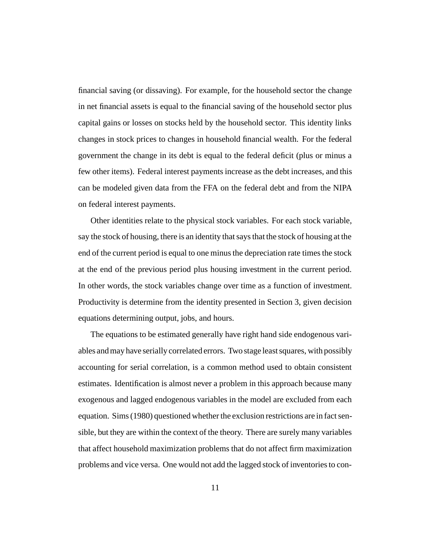financial saving (or dissaving). For example, for the household sector the change in net financial assets is equal to the financial saving of the household sector plus capital gains or losses on stocks held by the household sector. This identity links changes in stock prices to changes in household financial wealth. For the federal government the change in its debt is equal to the federal deficit (plus or minus a few other items). Federal interest payments increase as the debt increases, and this can be modeled given data from the FFA on the federal debt and from the NIPA on federal interest payments.

Other identities relate to the physical stock variables. For each stock variable, say the stock of housing, there is an identity that says that the stock of housing at the end of the current period is equal to one minus the depreciation rate times the stock at the end of the previous period plus housing investment in the current period. In other words, the stock variables change over time as a function of investment. Productivity is determine from the identity presented in Section 3, given decision equations determining output, jobs, and hours.

The equations to be estimated generally have right hand side endogenous variables and may have serially correlated errors. Two stage least squares, with possibly accounting for serial correlation, is a common method used to obtain consistent estimates. Identification is almost never a problem in this approach because many exogenous and lagged endogenous variables in the model are excluded from each equation. Sims (1980) questioned whether the exclusion restrictions are in fact sensible, but they are within the context of the theory. There are surely many variables that affect household maximization problems that do not affect firm maximization problems and vice versa. One would not add the lagged stock of inventories to con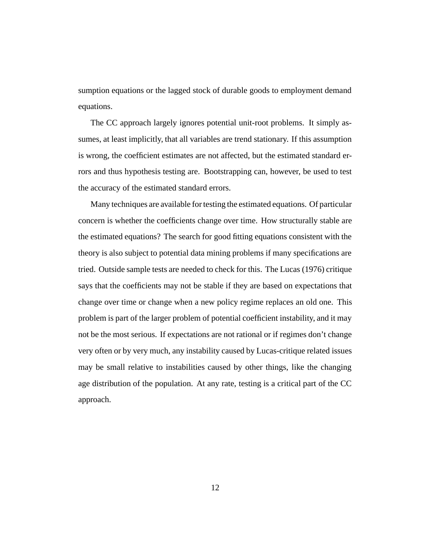sumption equations or the lagged stock of durable goods to employment demand equations.

The CC approach largely ignores potential unit-root problems. It simply assumes, at least implicitly, that all variables are trend stationary. If this assumption is wrong, the coefficient estimates are not affected, but the estimated standard errors and thus hypothesis testing are. Bootstrapping can, however, be used to test the accuracy of the estimated standard errors.

Many techniques are available for testing the estimated equations. Of particular concern is whether the coefficients change over time. How structurally stable are the estimated equations? The search for good fitting equations consistent with the theory is also subject to potential data mining problems if many specifications are tried. Outside sample tests are needed to check for this. The Lucas (1976) critique says that the coefficients may not be stable if they are based on expectations that change over time or change when a new policy regime replaces an old one. This problem is part of the larger problem of potential coefficient instability, and it may not be the most serious. If expectations are not rational or if regimes don't change very often or by very much, any instability caused by Lucas-critique related issues may be small relative to instabilities caused by other things, like the changing age distribution of the population. At any rate, testing is a critical part of the CC approach.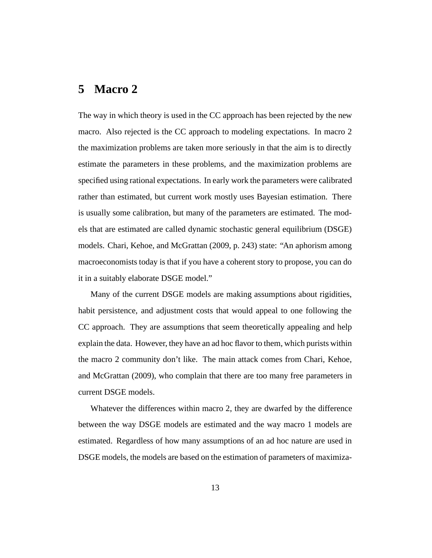# **5 Macro 2**

The way in which theory is used in the CC approach has been rejected by the new macro. Also rejected is the CC approach to modeling expectations. In macro 2 the maximization problems are taken more seriously in that the aim is to directly estimate the parameters in these problems, and the maximization problems are specified using rational expectations. In early work the parameters were calibrated rather than estimated, but current work mostly uses Bayesian estimation. There is usually some calibration, but many of the parameters are estimated. The models that are estimated are called dynamic stochastic general equilibrium (DSGE) models. Chari, Kehoe, and McGrattan (2009, p. 243) state: "An aphorism among macroeconomists today is that if you have a coherent story to propose, you can do it in a suitably elaborate DSGE model."

Many of the current DSGE models are making assumptions about rigidities, habit persistence, and adjustment costs that would appeal to one following the CC approach. They are assumptions that seem theoretically appealing and help explain the data. However, they have an ad hoc flavor to them, which purists within the macro 2 community don't like. The main attack comes from Chari, Kehoe, and McGrattan (2009), who complain that there are too many free parameters in current DSGE models.

Whatever the differences within macro 2, they are dwarfed by the difference between the way DSGE models are estimated and the way macro 1 models are estimated. Regardless of how many assumptions of an ad hoc nature are used in DSGE models, the models are based on the estimation of parameters of maximiza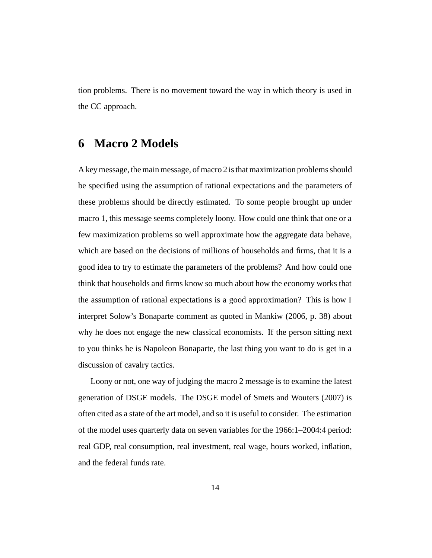tion problems. There is no movement toward the way in which theory is used in the CC approach.

# **6 Macro 2 Models**

A key message, the main message, of macro 2 is that maximization problems should be specified using the assumption of rational expectations and the parameters of these problems should be directly estimated. To some people brought up under macro 1, this message seems completely loony. How could one think that one or a few maximization problems so well approximate how the aggregate data behave, which are based on the decisions of millions of households and firms, that it is a good idea to try to estimate the parameters of the problems? And how could one think that households and firms know so much about how the economy works that the assumption of rational expectations is a good approximation? This is how I interpret Solow's Bonaparte comment as quoted in Mankiw (2006, p. 38) about why he does not engage the new classical economists. If the person sitting next to you thinks he is Napoleon Bonaparte, the last thing you want to do is get in a discussion of cavalry tactics.

Loony or not, one way of judging the macro 2 message is to examine the latest generation of DSGE models. The DSGE model of Smets and Wouters (2007) is often cited as a state of the art model, and so it is useful to consider. The estimation of the model uses quarterly data on seven variables for the 1966:1–2004:4 period: real GDP, real consumption, real investment, real wage, hours worked, inflation, and the federal funds rate.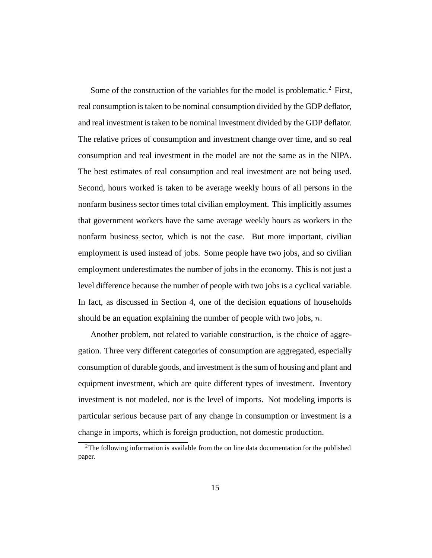Some of the construction of the variables for the model is problematic.<sup>2</sup> First, real consumption is taken to be nominal consumption divided by the GDP deflator, and real investment is taken to be nominal investment divided by the GDP deflator. The relative prices of consumption and investment change over time, and so real consumption and real investment in the model are not the same as in the NIPA. The best estimates of real consumption and real investment are not being used. Second, hours worked is taken to be average weekly hours of all persons in the nonfarm business sector times total civilian employment. This implicitly assumes that government workers have the same average weekly hours as workers in the nonfarm business sector, which is not the case. But more important, civilian employment is used instead of jobs. Some people have two jobs, and so civilian employment underestimates the number of jobs in the economy. This is not just a level difference because the number of people with two jobs is a cyclical variable. In fact, as discussed in Section 4, one of the decision equations of households should be an equation explaining the number of people with two jobs, *n*.

Another problem, not related to variable construction, is the choice of aggregation. Three very different categories of consumption are aggregated, especially consumption of durable goods, and investment is the sum of housing and plant and equipment investment, which are quite different types of investment. Inventory investment is not modeled, nor is the level of imports. Not modeling imports is particular serious because part of any change in consumption or investment is a change in imports, which is foreign production, not domestic production.

<sup>2</sup>The following information is available from the on line data documentation for the published paper.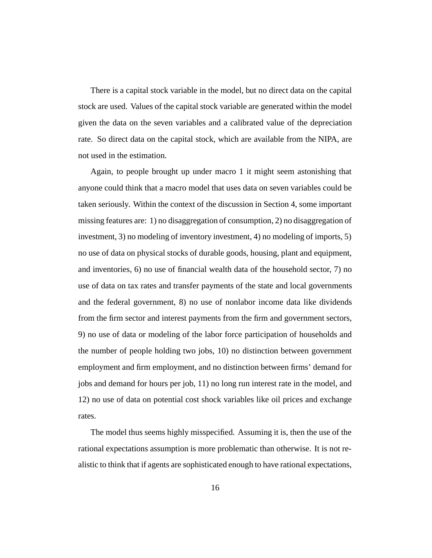There is a capital stock variable in the model, but no direct data on the capital stock are used. Values of the capital stock variable are generated within the model given the data on the seven variables and a calibrated value of the depreciation rate. So direct data on the capital stock, which are available from the NIPA, are not used in the estimation.

Again, to people brought up under macro 1 it might seem astonishing that anyone could think that a macro model that uses data on seven variables could be taken seriously. Within the context of the discussion in Section 4, some important missing features are: 1) no disaggregation of consumption, 2) no disaggregation of investment, 3) no modeling of inventory investment, 4) no modeling of imports, 5) no use of data on physical stocks of durable goods, housing, plant and equipment, and inventories, 6) no use of financial wealth data of the household sector, 7) no use of data on tax rates and transfer payments of the state and local governments and the federal government, 8) no use of nonlabor income data like dividends from the firm sector and interest payments from the firm and government sectors, 9) no use of data or modeling of the labor force participation of households and the number of people holding two jobs, 10) no distinction between government employment and firm employment, and no distinction between firms' demand for jobs and demand for hours per job, 11) no long run interest rate in the model, and 12) no use of data on potential cost shock variables like oil prices and exchange rates.

The model thus seems highly misspecified. Assuming it is, then the use of the rational expectations assumption is more problematic than otherwise. It is not realistic to think that if agents are sophisticated enough to have rational expectations,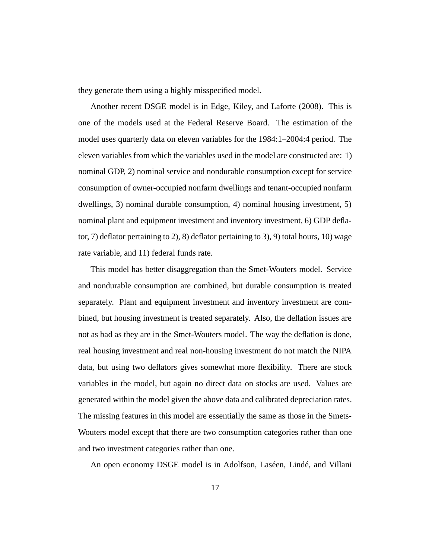they generate them using a highly misspecified model.

Another recent DSGE model is in Edge, Kiley, and Laforte (2008). This is one of the models used at the Federal Reserve Board. The estimation of the model uses quarterly data on eleven variables for the 1984:1–2004:4 period. The eleven variables from which the variables used in the model are constructed are: 1) nominal GDP, 2) nominal service and nondurable consumption except for service consumption of owner-occupied nonfarm dwellings and tenant-occupied nonfarm dwellings, 3) nominal durable consumption, 4) nominal housing investment, 5) nominal plant and equipment investment and inventory investment, 6) GDP deflator, 7) deflator pertaining to 2), 8) deflator pertaining to 3), 9) total hours, 10) wage rate variable, and 11) federal funds rate.

This model has better disaggregation than the Smet-Wouters model. Service and nondurable consumption are combined, but durable consumption is treated separately. Plant and equipment investment and inventory investment are combined, but housing investment is treated separately. Also, the deflation issues are not as bad as they are in the Smet-Wouters model. The way the deflation is done, real housing investment and real non-housing investment do not match the NIPA data, but using two deflators gives somewhat more flexibility. There are stock variables in the model, but again no direct data on stocks are used. Values are generated within the model given the above data and calibrated depreciation rates. The missing features in this model are essentially the same as those in the Smets-Wouters model except that there are two consumption categories rather than one and two investment categories rather than one.

An open economy DSGE model is in Adolfson, Laséen, Lindé, and Villani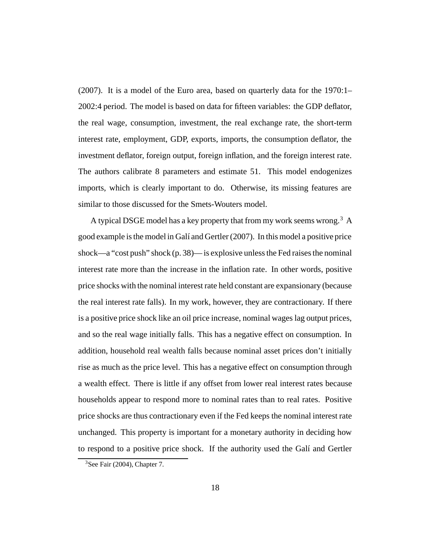(2007). It is a model of the Euro area, based on quarterly data for the 1970:1– 2002:4 period. The model is based on data for fifteen variables: the GDP deflator, the real wage, consumption, investment, the real exchange rate, the short-term interest rate, employment, GDP, exports, imports, the consumption deflator, the investment deflator, foreign output, foreign inflation, and the foreign interest rate. The authors calibrate 8 parameters and estimate 51. This model endogenizes imports, which is clearly important to do. Otherwise, its missing features are similar to those discussed for the Smets-Wouters model.

A typical DSGE model has a key property that from my work seems wrong.<sup>3</sup> A good example is the model in Galí and Gertler (2007). In this model a positive price shock—a "cost push" shock (p. 38)— is explosive unless the Fed raises the nominal interest rate more than the increase in the inflation rate. In other words, positive price shocks with the nominal interest rate held constant are expansionary (because the real interest rate falls). In my work, however, they are contractionary. If there is a positive price shock like an oil price increase, nominal wages lag output prices, and so the real wage initially falls. This has a negative effect on consumption. In addition, household real wealth falls because nominal asset prices don't initially rise as much as the price level. This has a negative effect on consumption through a wealth effect. There is little if any offset from lower real interest rates because households appear to respond more to nominal rates than to real rates. Positive price shocks are thus contractionary even if the Fed keeps the nominal interest rate unchanged. This property is important for a monetary authority in deciding how to respond to a positive price shock. If the authority used the Galí and Gertler

 $3$ See Fair (2004), Chapter 7.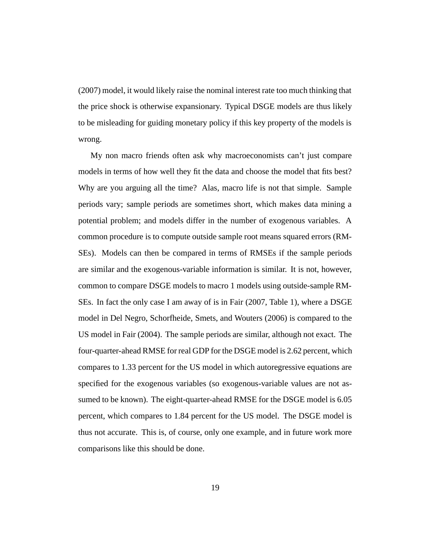(2007) model, it would likely raise the nominal interest rate too much thinking that the price shock is otherwise expansionary. Typical DSGE models are thus likely to be misleading for guiding monetary policy if this key property of the models is wrong.

My non macro friends often ask why macroeconomists can't just compare models in terms of how well they fit the data and choose the model that fits best? Why are you arguing all the time? Alas, macro life is not that simple. Sample periods vary; sample periods are sometimes short, which makes data mining a potential problem; and models differ in the number of exogenous variables. A common procedure is to compute outside sample root means squared errors (RM-SEs). Models can then be compared in terms of RMSEs if the sample periods are similar and the exogenous-variable information is similar. It is not, however, common to compare DSGE models to macro 1 models using outside-sample RM-SEs. In fact the only case I am away of is in Fair (2007, Table 1), where a DSGE model in Del Negro, Schorfheide, Smets, and Wouters (2006) is compared to the US model in Fair (2004). The sample periods are similar, although not exact. The four-quarter-ahead RMSE for real GDP for the DSGE model is 2.62 percent, which compares to 1.33 percent for the US model in which autoregressive equations are specified for the exogenous variables (so exogenous-variable values are not assumed to be known). The eight-quarter-ahead RMSE for the DSGE model is 6.05 percent, which compares to 1.84 percent for the US model. The DSGE model is thus not accurate. This is, of course, only one example, and in future work more comparisons like this should be done.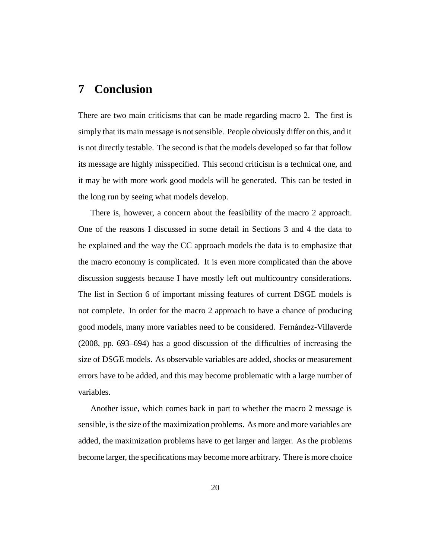# **7 Conclusion**

There are two main criticisms that can be made regarding macro 2. The first is simply that its main message is not sensible. People obviously differ on this, and it is not directly testable. The second is that the models developed so far that follow its message are highly misspecified. This second criticism is a technical one, and it may be with more work good models will be generated. This can be tested in the long run by seeing what models develop.

There is, however, a concern about the feasibility of the macro 2 approach. One of the reasons I discussed in some detail in Sections 3 and 4 the data to be explained and the way the CC approach models the data is to emphasize that the macro economy is complicated. It is even more complicated than the above discussion suggests because I have mostly left out multicountry considerations. The list in Section 6 of important missing features of current DSGE models is not complete. In order for the macro 2 approach to have a chance of producing good models, many more variables need to be considered. Fernández-Villaverde (2008, pp. 693–694) has a good discussion of the difficulties of increasing the size of DSGE models. As observable variables are added, shocks or measurement errors have to be added, and this may become problematic with a large number of variables.

Another issue, which comes back in part to whether the macro 2 message is sensible, is the size of the maximization problems. As more and more variables are added, the maximization problems have to get larger and larger. As the problems become larger, the specifications may become more arbitrary. There is more choice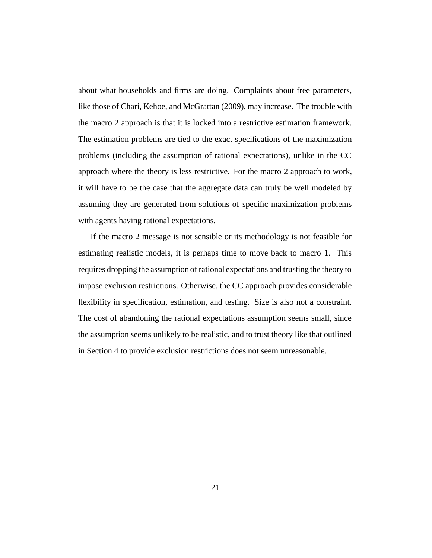about what households and firms are doing. Complaints about free parameters, like those of Chari, Kehoe, and McGrattan (2009), may increase. The trouble with the macro 2 approach is that it is locked into a restrictive estimation framework. The estimation problems are tied to the exact specifications of the maximization problems (including the assumption of rational expectations), unlike in the CC approach where the theory is less restrictive. For the macro 2 approach to work, it will have to be the case that the aggregate data can truly be well modeled by assuming they are generated from solutions of specific maximization problems with agents having rational expectations.

If the macro 2 message is not sensible or its methodology is not feasible for estimating realistic models, it is perhaps time to move back to macro 1. This requires dropping the assumption of rational expectations and trusting the theory to impose exclusion restrictions. Otherwise, the CC approach provides considerable flexibility in specification, estimation, and testing. Size is also not a constraint. The cost of abandoning the rational expectations assumption seems small, since the assumption seems unlikely to be realistic, and to trust theory like that outlined in Section 4 to provide exclusion restrictions does not seem unreasonable.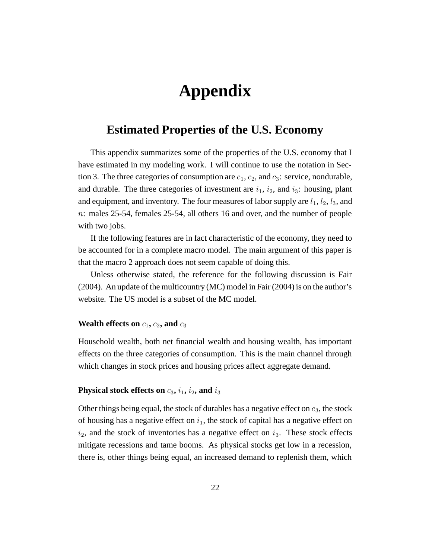# **Appendix**

# **Estimated Properties of the U.S. Economy**

This appendix summarizes some of the properties of the U.S. economy that I have estimated in my modeling work. I will continue to use the notation in Section 3. The three categories of consumption are  $c_1$ ,  $c_2$ , and  $c_3$ : service, nondurable, and durable. The three categories of investment are  $i_1$ ,  $i_2$ , and  $i_3$ : housing, plant and equipment, and inventory. The four measures of labor supply are  $l_1$ ,  $l_2$ ,  $l_3$ , and *n*: males 25-54, females 25-54, all others 16 and over, and the number of people with two jobs.

If the following features are in fact characteristic of the economy, they need to be accounted for in a complete macro model. The main argument of this paper is that the macro 2 approach does not seem capable of doing this.

Unless otherwise stated, the reference for the following discussion is Fair (2004). An update of the multicountry (MC) model in Fair (2004) is on the author's website. The US model is a subset of the MC model.

## **Wealth effects on**  $c_1$ ,  $c_2$ , and  $c_3$

Household wealth, both net financial wealth and housing wealth, has important effects on the three categories of consumption. This is the main channel through which changes in stock prices and housing prices affect aggregate demand.

#### **Physical stock effects on**  $c_3$ ,  $i_1$ ,  $i_2$ , and  $i_3$

Other things being equal, the stock of durables has a negative effect on  $c_3$ , the stock of housing has a negative effect on  $i_1$ , the stock of capital has a negative effect on  $i_2$ , and the stock of inventories has a negative effect on  $i_3$ . These stock effects mitigate recessions and tame booms. As physical stocks get low in a recession, there is, other things being equal, an increased demand to replenish them, which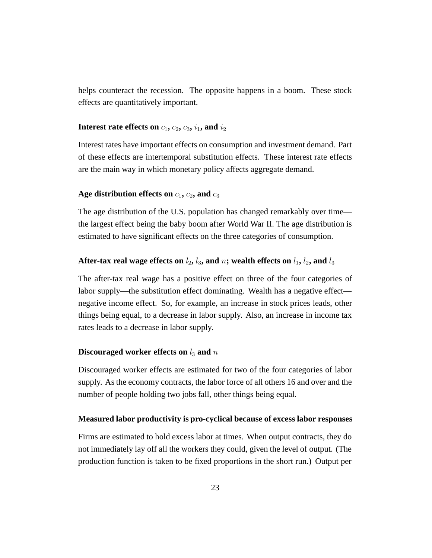helps counteract the recession. The opposite happens in a boom. These stock effects are quantitatively important.

## **Interest rate effects on**  $c_1$ ,  $c_2$ ,  $c_3$ ,  $i_1$ , and  $i_2$

Interest rates have important effects on consumption and investment demand. Part of these effects are intertemporal substitution effects. These interest rate effects are the main way in which monetary policy affects aggregate demand.

## Age distribution effects on  $c_1$ ,  $c_2$ , and  $c_3$

The age distribution of the U.S. population has changed remarkably over time the largest effect being the baby boom after World War II. The age distribution is estimated to have significant effects on the three categories of consumption.

## After-tax real wage effects on  $l_2$ ,  $l_3$ , and  $n$ ; wealth effects on  $l_1$ ,  $l_2$ , and  $l_3$

The after-tax real wage has a positive effect on three of the four categories of labor supply—the substitution effect dominating. Wealth has a negative effect negative income effect. So, for example, an increase in stock prices leads, other things being equal, to a decrease in labor supply. Also, an increase in income tax rates leads to a decrease in labor supply.

#### **Discouraged worker effects on** *l*<sup>3</sup> **and** *n*

Discouraged worker effects are estimated for two of the four categories of labor supply. As the economy contracts, the labor force of all others 16 and over and the number of people holding two jobs fall, other things being equal.

#### **Measured labor productivity is pro-cyclical because of excess labor responses**

Firms are estimated to hold excess labor at times. When output contracts, they do not immediately lay off all the workers they could, given the level of output. (The production function is taken to be fixed proportions in the short run.) Output per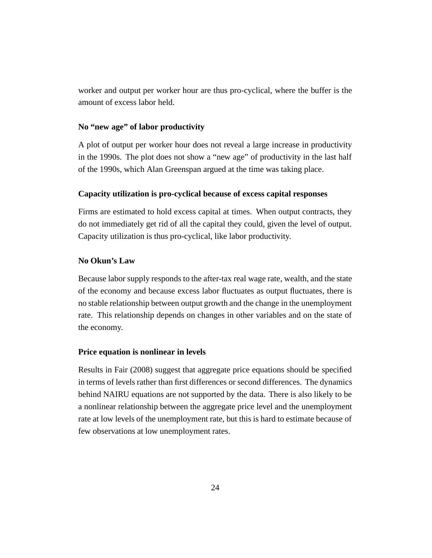worker and output per worker hour are thus pro-cyclical, where the buffer is the amount of excess labor held.

## **No "new age" of labor productivity**

A plot of output per worker hour does not reveal a large increase in productivity in the 1990s. The plot does not show a "new age" of productivity in the last half of the 1990s, which Alan Greenspan argued at the time was taking place.

## **Capacity utilization is pro-cyclical because of excess capital responses**

Firms are estimated to hold excess capital at times. When output contracts, they do not immediately get rid of all the capital they could, given the level of output. Capacity utilization is thus pro-cyclical, like labor productivity.

## **No Okun's Law**

Because labor supply responds to the after-tax real wage rate, wealth, and the state of the economy and because excess labor fluctuates as output fluctuates, there is no stable relationship between output growth and the change in the unemployment rate. This relationship depends on changes in other variables and on the state of the economy.

## **Price equation is nonlinear in levels**

Results in Fair (2008) suggest that aggregate price equations should be specified in terms of levels rather than first differences or second differences. The dynamics behind NAIRU equations are not supported by the data. There is also likely to be a nonlinear relationship between the aggregate price level and the unemployment rate at low levels of the unemployment rate, but this is hard to estimate because of few observations at low unemployment rates.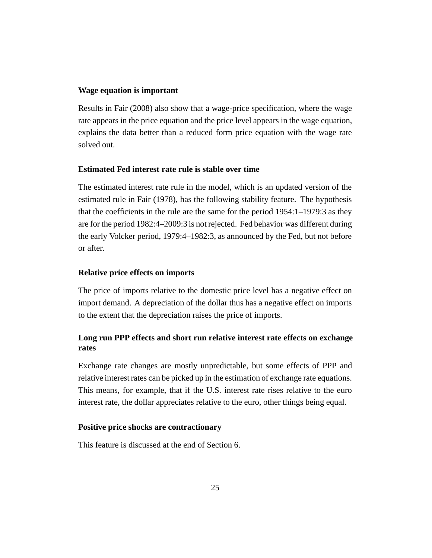#### **Wage equation is important**

Results in Fair (2008) also show that a wage-price specification, where the wage rate appears in the price equation and the price level appears in the wage equation, explains the data better than a reduced form price equation with the wage rate solved out.

## **Estimated Fed interest rate rule is stable over time**

The estimated interest rate rule in the model, which is an updated version of the estimated rule in Fair (1978), has the following stability feature. The hypothesis that the coefficients in the rule are the same for the period 1954:1–1979:3 as they are for the period 1982:4–2009:3 is not rejected. Fed behavior was different during the early Volcker period, 1979:4–1982:3, as announced by the Fed, but not before or after.

## **Relative price effects on imports**

The price of imports relative to the domestic price level has a negative effect on import demand. A depreciation of the dollar thus has a negative effect on imports to the extent that the depreciation raises the price of imports.

# **Long run PPP effects and short run relative interest rate effects on exchange rates**

Exchange rate changes are mostly unpredictable, but some effects of PPP and relative interest rates can be picked up in the estimation of exchange rate equations. This means, for example, that if the U.S. interest rate rises relative to the euro interest rate, the dollar appreciates relative to the euro, other things being equal.

## **Positive price shocks are contractionary**

This feature is discussed at the end of Section 6.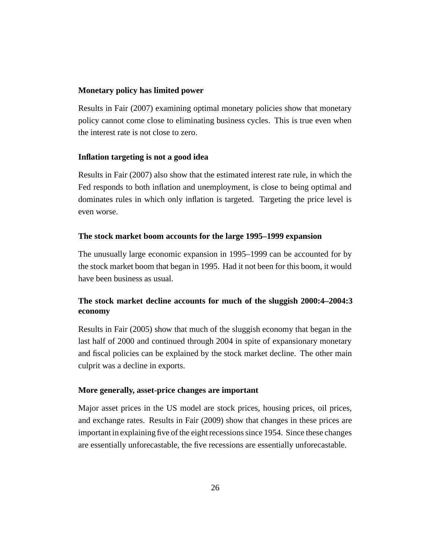## **Monetary policy has limited power**

Results in Fair (2007) examining optimal monetary policies show that monetary policy cannot come close to eliminating business cycles. This is true even when the interest rate is not close to zero.

#### **Inflation targeting is not a good idea**

Results in Fair (2007) also show that the estimated interest rate rule, in which the Fed responds to both inflation and unemployment, is close to being optimal and dominates rules in which only inflation is targeted. Targeting the price level is even worse.

#### **The stock market boom accounts for the large 1995–1999 expansion**

The unusually large economic expansion in 1995–1999 can be accounted for by the stock market boom that began in 1995. Had it not been for this boom, it would have been business as usual.

## **The stock market decline accounts for much of the sluggish 2000:4–2004:3 economy**

Results in Fair (2005) show that much of the sluggish economy that began in the last half of 2000 and continued through 2004 in spite of expansionary monetary and fiscal policies can be explained by the stock market decline. The other main culprit was a decline in exports.

#### **More generally, asset-price changes are important**

Major asset prices in the US model are stock prices, housing prices, oil prices, and exchange rates. Results in Fair (2009) show that changes in these prices are important in explaining five of the eight recessions since 1954. Since these changes are essentially unforecastable, the five recessions are essentially unforecastable.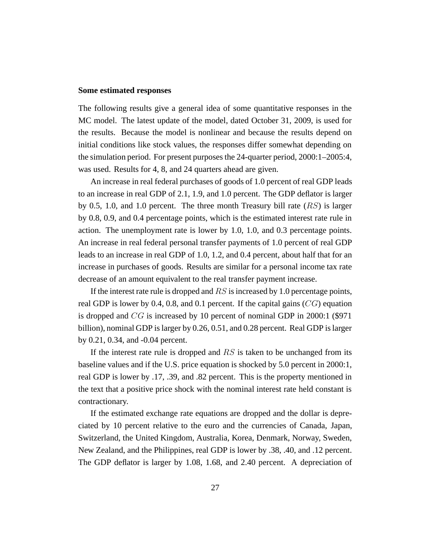#### **Some estimated responses**

The following results give a general idea of some quantitative responses in the MC model. The latest update of the model, dated October 31, 2009, is used for the results. Because the model is nonlinear and because the results depend on initial conditions like stock values, the responses differ somewhat depending on the simulation period. For present purposes the 24-quarter period, 2000:1–2005:4, was used. Results for 4, 8, and 24 quarters ahead are given.

An increase in real federal purchases of goods of 1.0 percent of real GDP leads to an increase in real GDP of 2.1, 1.9, and 1.0 percent. The GDP deflator is larger by 0.5, 1.0, and 1.0 percent. The three month Treasury bill rate (*RS*) is larger by 0.8, 0.9, and 0.4 percentage points, which is the estimated interest rate rule in action. The unemployment rate is lower by 1.0, 1.0, and 0.3 percentage points. An increase in real federal personal transfer payments of 1.0 percent of real GDP leads to an increase in real GDP of 1.0, 1.2, and 0.4 percent, about half that for an increase in purchases of goods. Results are similar for a personal income tax rate decrease of an amount equivalent to the real transfer payment increase.

If the interest rate rule is dropped and *RS* is increased by 1.0 percentage points, real GDP is lower by 0.4, 0.8, and 0.1 percent. If the capital gains (*CG*) equation is dropped and *CG* is increased by 10 percent of nominal GDP in 2000:1 (\$971 billion), nominal GDP is larger by 0.26, 0.51, and 0.28 percent. Real GDP is larger by 0.21, 0.34, and -0.04 percent.

If the interest rate rule is dropped and *RS* is taken to be unchanged from its baseline values and if the U.S. price equation is shocked by 5.0 percent in 2000:1, real GDP is lower by .17, .39, and .82 percent. This is the property mentioned in the text that a positive price shock with the nominal interest rate held constant is contractionary.

If the estimated exchange rate equations are dropped and the dollar is depreciated by 10 percent relative to the euro and the currencies of Canada, Japan, Switzerland, the United Kingdom, Australia, Korea, Denmark, Norway, Sweden, New Zealand, and the Philippines, real GDP is lower by .38, .40, and .12 percent. The GDP deflator is larger by 1.08, 1.68, and 2.40 percent. A depreciation of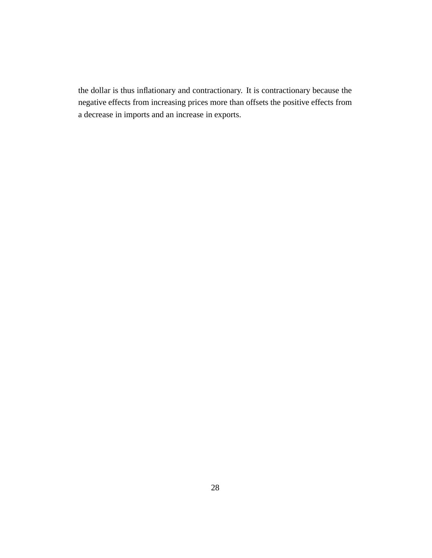the dollar is thus inflationary and contractionary. It is contractionary because the negative effects from increasing prices more than offsets the positive effects from a decrease in imports and an increase in exports.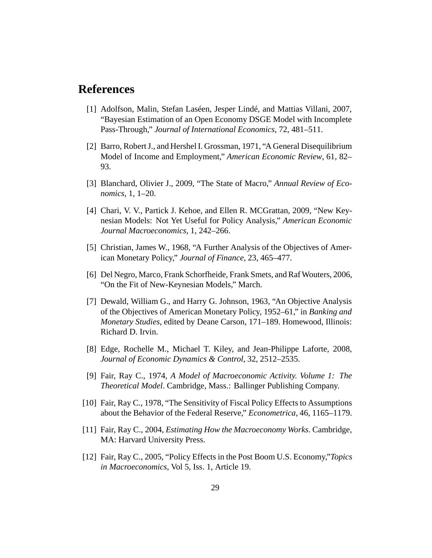# **References**

- [1] Adolfson, Malin, Stefan Laséen, Jesper Lindé, and Mattias Villani, 2007, "Bayesian Estimation of an Open Economy DSGE Model with Incomplete Pass-Through," *Journal of International Economics*, 72, 481–511.
- [2] Barro, Robert J., and Hershel I. Grossman, 1971, "A General Disequilibrium Model of Income and Employment," *American Economic Review*, 61, 82– 93.
- [3] Blanchard, Olivier J., 2009, "The State of Macro," *Annual Review of Economics*, 1, 1–20.
- [4] Chari, V. V., Partick J. Kehoe, and Ellen R. MCGrattan, 2009, "New Keynesian Models: Not Yet Useful for Policy Analysis," *American Economic Journal Macroeconomics*, 1, 242–266.
- [5] Christian, James W., 1968, "A Further Analysis of the Objectives of American Monetary Policy," *Journal of Finance*, 23, 465–477.
- [6] Del Negro, Marco, Frank Schorfheide, Frank Smets, and Raf Wouters, 2006, "On the Fit of New-Keynesian Models," March.
- [7] Dewald, William G., and Harry G. Johnson, 1963, "An Objective Analysis of the Objectives of American Monetary Policy, 1952–61," in *Banking and Monetary Studies*, edited by Deane Carson, 171–189. Homewood, Illinois: Richard D. Irvin.
- [8] Edge, Rochelle M., Michael T. Kiley, and Jean-Philippe Laforte, 2008, *Journal of Economic Dynamics & Control*, 32, 2512–2535.
- [9] Fair, Ray C., 1974, *A Model of Macroeconomic Activity. Volume 1: The Theoretical Model*. Cambridge, Mass.: Ballinger Publishing Company.
- [10] Fair, Ray C., 1978, "The Sensitivity of Fiscal Policy Effects to Assumptions about the Behavior of the Federal Reserve," *Econometrica*, 46, 1165–1179.
- [11] Fair, Ray C., 2004, *Estimating How the Macroeconomy Works*. Cambridge, MA: Harvard University Press.
- [12] Fair, Ray C., 2005, "Policy Effects in the Post Boom U.S. Economy,"*Topics in Macroeconomics*, Vol 5, Iss. 1, Article 19.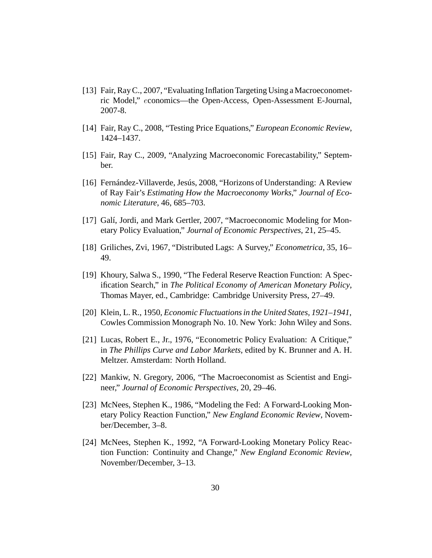- [13] Fair, Ray C., 2007, "Evaluating Inflation Targeting Using a Macroeconometric Model," *e*conomics—the Open-Access, Open-Assessment E-Journal, 2007-8.
- [14] Fair, Ray C., 2008, "Testing Price Equations," *European Economic Review*, 1424–1437.
- [15] Fair, Ray C., 2009, "Analyzing Macroeconomic Forecastability," September.
- [16] Fernández-Villaverde, Jesús, 2008, "Horizons of Understanding: A Review of Ray Fair's *Estimating How the Macroeconomy Works*," *Journal of Economic Literature*, 46, 685–703.
- [17] Galí, Jordi, and Mark Gertler, 2007, "Macroeconomic Modeling for Monetary Policy Evaluation," *Journal of Economic Perspectives*, 21, 25–45.
- [18] Griliches, Zvi, 1967, "Distributed Lags: A Survey," *Econometrica*, 35, 16– 49.
- [19] Khoury, Salwa S., 1990, "The Federal Reserve Reaction Function: A Specification Search," in *The Political Economy of American Monetary Policy*, Thomas Mayer, ed., Cambridge: Cambridge University Press, 27–49.
- [20] Klein, L. R., 1950, *Economic Fluctuations in the United States, 1921–1941*, Cowles Commission Monograph No. 10. New York: John Wiley and Sons.
- [21] Lucas, Robert E., Jr., 1976, "Econometric Policy Evaluation: A Critique," in *The Phillips Curve and Labor Markets*, edited by K. Brunner and A. H. Meltzer. Amsterdam: North Holland.
- [22] Mankiw, N. Gregory, 2006, "The Macroeconomist as Scientist and Engineer," *Journal of Economic Perspectives*, 20, 29–46.
- [23] McNees, Stephen K., 1986, "Modeling the Fed: A Forward-Looking Monetary Policy Reaction Function," *New England Economic Review*, November/December, 3–8.
- [24] McNees, Stephen K., 1992, "A Forward-Looking Monetary Policy Reaction Function: Continuity and Change," *New England Economic Review*, November/December, 3–13.